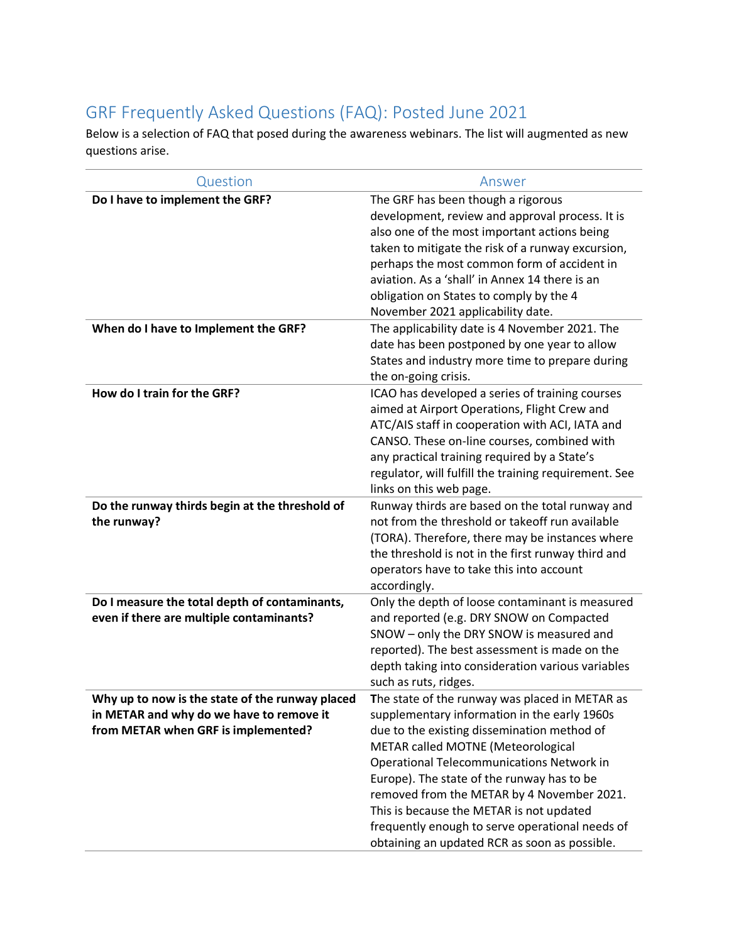## GRF Frequently Asked Questions (FAQ): Posted June 2021

Below is a selection of FAQ that posed during the awareness webinars. The list will augmented as new questions arise.

| Do I have to implement the GRF?<br>When do I have to Implement the GRF?                                                            | The GRF has been though a rigorous<br>development, review and approval process. It is<br>also one of the most important actions being<br>taken to mitigate the risk of a runway excursion,<br>perhaps the most common form of accident in<br>aviation. As a 'shall' in Annex 14 there is an<br>obligation on States to comply by the 4                                                                                             |
|------------------------------------------------------------------------------------------------------------------------------------|------------------------------------------------------------------------------------------------------------------------------------------------------------------------------------------------------------------------------------------------------------------------------------------------------------------------------------------------------------------------------------------------------------------------------------|
|                                                                                                                                    |                                                                                                                                                                                                                                                                                                                                                                                                                                    |
|                                                                                                                                    |                                                                                                                                                                                                                                                                                                                                                                                                                                    |
|                                                                                                                                    |                                                                                                                                                                                                                                                                                                                                                                                                                                    |
|                                                                                                                                    |                                                                                                                                                                                                                                                                                                                                                                                                                                    |
|                                                                                                                                    |                                                                                                                                                                                                                                                                                                                                                                                                                                    |
|                                                                                                                                    | November 2021 applicability date.                                                                                                                                                                                                                                                                                                                                                                                                  |
|                                                                                                                                    | The applicability date is 4 November 2021. The<br>date has been postponed by one year to allow<br>States and industry more time to prepare during<br>the on-going crisis.                                                                                                                                                                                                                                                          |
| How do I train for the GRF?                                                                                                        | ICAO has developed a series of training courses<br>aimed at Airport Operations, Flight Crew and<br>ATC/AIS staff in cooperation with ACI, IATA and<br>CANSO. These on-line courses, combined with<br>any practical training required by a State's<br>regulator, will fulfill the training requirement. See<br>links on this web page.                                                                                              |
| Do the runway thirds begin at the threshold of<br>the runway?                                                                      | Runway thirds are based on the total runway and<br>not from the threshold or takeoff run available<br>(TORA). Therefore, there may be instances where<br>the threshold is not in the first runway third and<br>operators have to take this into account                                                                                                                                                                            |
|                                                                                                                                    | accordingly.                                                                                                                                                                                                                                                                                                                                                                                                                       |
| Do I measure the total depth of contaminants,<br>even if there are multiple contaminants?                                          | Only the depth of loose contaminant is measured<br>and reported (e.g. DRY SNOW on Compacted<br>SNOW - only the DRY SNOW is measured and<br>reported). The best assessment is made on the<br>depth taking into consideration various variables<br>such as ruts, ridges.                                                                                                                                                             |
| Why up to now is the state of the runway placed<br>in METAR and why do we have to remove it<br>from METAR when GRF is implemented? | The state of the runway was placed in METAR as<br>supplementary information in the early 1960s<br>due to the existing dissemination method of<br>METAR called MOTNE (Meteorological<br><b>Operational Telecommunications Network in</b><br>Europe). The state of the runway has to be<br>removed from the METAR by 4 November 2021.<br>This is because the METAR is not updated<br>frequently enough to serve operational needs of |